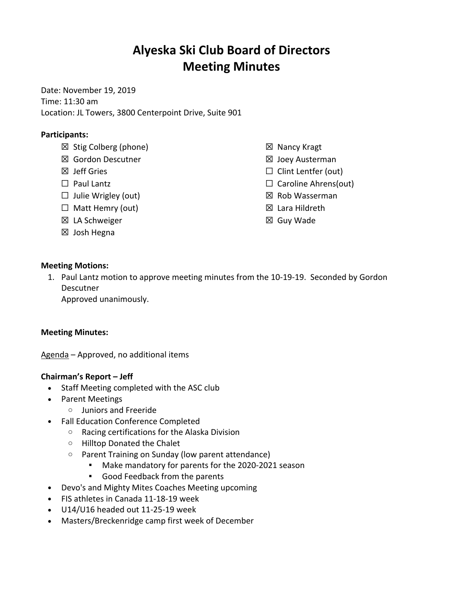# **Alyeska Ski Club Board of Directors Meeting Minutes**

Date: November 19, 2019 Time: 11:30 am Location: JL Towers, 3800 Centerpoint Drive, Suite 901

# **Participants:**

- ☒ Stig Colberg (phone)
- ☒ Gordon Descutner
- ☒ Jeff Gries
- □ Paul Lantz
- $\Box$  Julie Wrigley (out)
- $\Box$  Matt Hemry (out)
- ☒ LA Schweiger
- ☒ Josh Hegna
- ☒ Nancy Kragt
- ☒ Joey Austerman
- □ Clint Lentfer (out)
- □ Caroline Ahrens(out)
- ☒ Rob Wasserman
- ☒ Lara Hildreth
- ☒ Guy Wade

## **Meeting Motions:**

1. Paul Lantz motion to approve meeting minutes from the 10-19-19. Seconded by Gordon Descutner

Approved unanimously.

#### **Meeting Minutes:**

Agenda – Approved, no additional items

## **Chairman's Report – Jeff**

- Staff Meeting completed with the ASC club
- Parent Meetings
	- o Juniors and Freeride
- Fall Education Conference Completed
	- o Racing certifications for the Alaska Division
	- o Hilltop Donated the Chalet
	- o Parent Training on Sunday (low parent attendance)
		- § Make mandatory for parents for the 2020-2021 season
		- § Good Feedback from the parents
- Devo's and Mighty Mites Coaches Meeting upcoming
- FIS athletes in Canada 11-18-19 week
- U14/U16 headed out 11-25-19 week
- Masters/Breckenridge camp first week of December